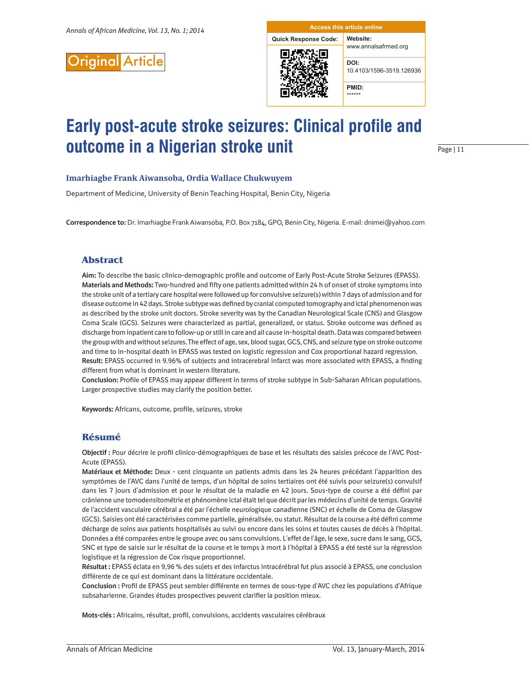



# **Early post-acute stroke seizures: Clinical profile and outcome in a Nigerian stroke unit**

Page | 11

#### **Imarhiagbe Frank Aiwansoba, Ordia Wallace Chukwuyem**

Department of Medicine, University of Benin Teaching Hospital, Benin City, Nigeria

**Correspondence to:** Dr. Imarhiagbe Frank Aiwansoba, P.O. Box 7184, GPO, Benin City, Nigeria. E-mail: dnimei@yahoo.com

## **Abstract**

**Aim:** To describe the basic clinico-demographic profile and outcome of Early Post-Acute Stroke Seizures (EPASS). **Materials and Methods:** Two-hundred and fifty one patients admitted within 24 h of onset of stroke symptoms into the stroke unit of a tertiary care hospital were followed up for convulsive seizure(s) within 7 days of admission and for disease outcome in 42 days. Stroke subtype was defined by cranial computed tomography and ictal phenomenon was as described by the stroke unit doctors. Stroke severity was by the Canadian Neurological Scale (CNS) and Glasgow Coma Scale (GCS). Seizures were characterized as partial, generalized, or status. Stroke outcome was defined as discharge from inpatient care to follow-up or still in care and all cause in-hospital death. Data was compared between the group with and without seizures. The effect of age, sex, blood sugar, GCS, CNS, and seizure type on stroke outcome and time to in-hospital death in EPASS was tested on logistic regression and Cox proportional hazard regression. **Result:** EPASS occurred in 9.96% of subjects and intracerebral infarct was more associated with EPASS, a finding different from what is dominant in western literature.

**Conclusion:** Profile of EPASS may appear different in terms of stroke subtype in Sub-Saharan African populations. Larger prospective studies may clarify the position better.

**Keywords:** Africans, outcome, profile, seizures, stroke

### **Résumé**

**Objectif :** Pour décrire le profil clinico-démographiques de base et les résultats des saisies précoce de l'AVC Post-Acute (EPASS).

**Matériaux et Méthode:** Deux - cent cinquante un patients admis dans les 24 heures précédant l'apparition des symptômes de l'AVC dans l'unité de temps, d'un hôpital de soins tertiaires ont été suivis pour seizure(s) convulsif dans les 7 jours d'admission et pour le résultat de la maladie en 42 jours. Sous-type de course a été défini par crânienne une tomodensitométrie et phénomène ictal était tel que décrit par les médecins d'unité de temps. Gravité de l'accident vasculaire cérébral a été par l'échelle neurologique canadienne (SNC) et échelle de Coma de Glasgow (GCS). Saisies ont été caractérisées comme partielle, généralisée, ou statut. Résultat de la course a été défini comme décharge de soins aux patients hospitalisés au suivi ou encore dans les soins et toutes causes de décès à l'hôpital. Données a été comparées entre le groupe avec ou sans convulsions. L'effet de l'âge, le sexe, sucre dans le sang, GCS, SNC et type de saisie sur le résultat de la course et le temps à mort à l'hôpital à EPASS a été testé sur la régression logistique et la régression de Cox risque proportionnel.

**Résultat :** EPASS éclata en 9,96 % des sujets et des infarctus intracérébral fut plus associé à EPASS, une conclusion différente de ce qui est dominant dans la littérature occidentale.

**Conclusion :** Profil de EPASS peut sembler différente en termes de sous-type d'AVC chez les populations d'Afrique subsaharienne. Grandes études prospectives peuvent clarifier la position mieux.

**Mots-clés :** Africains, résultat, profil, convulsions, accidents vasculaires cérébraux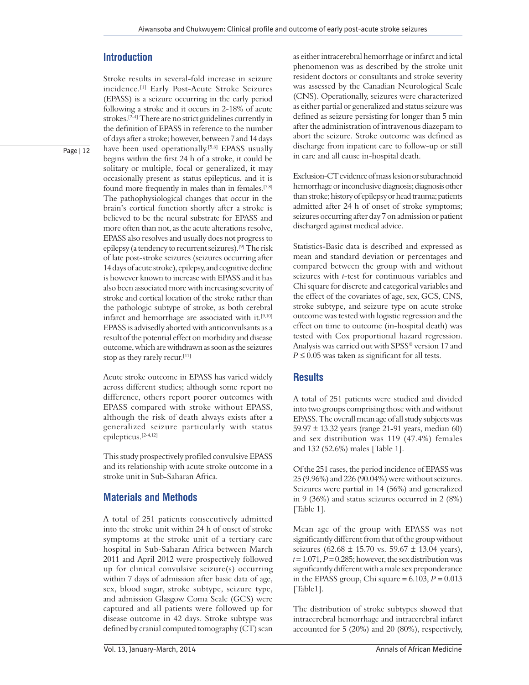# **Introduction**

Page | 12

(EPASS) is a seizure occurring in the early period following a stroke and it occurs in 2-18% of acute strokes.[2-4] There are no strict guidelines currently in the definition of EPASS in reference to the number of days after a stroke; however, between 7 and 14 days have been used operationally.<sup>[5,6]</sup> EPASS usually begins within the first 24 h of a stroke, it could be solitary or multiple, focal or generalized, it may occasionally present as status epilepticus, and it is found more frequently in males than in females.[7,8] The pathophysiological changes that occur in the brain's cortical function shortly after a stroke is believed to be the neural substrate for EPASS and more often than not, as the acute alterations resolve, EPASS also resolves and usually does not progress to epilepsy (a tendency to recurrent seizures).[9] The risk of late post-stroke seizures (seizures occurring after 14 days of acute stroke), epilepsy, and cognitive decline is however known to increase with EPASS and it has also been associated more with increasing severity of stroke and cortical location of the stroke rather than the pathologic subtype of stroke, as both cerebral infarct and hemorrhage are associated with it.<sup>[9,10]</sup> EPASS is advisedly aborted with anticonvulsants as a result of the potential effect on morbidity and disease outcome, which are withdrawn as soon as the seizures stop as they rarely recur.[11]

Stroke results in several-fold increase in seizure incidence.[1] Early Post-Acute Stroke Seizures

Acute stroke outcome in EPASS has varied widely across different studies; although some report no difference, others report poorer outcomes with EPASS compared with stroke without EPASS, although the risk of death always exists after a generalized seizure particularly with status epilepticus.[2-4,12]

This study prospectively profiled convulsive EPASS and its relationship with acute stroke outcome in a stroke unit in Sub-Saharan Africa.

# **Materials and Methods**

A total of 251 patients consecutively admitted into the stroke unit within 24 h of onset of stroke symptoms at the stroke unit of a tertiary care hospital in Sub-Saharan Africa between March 2011 and April 2012 were prospectively followed up for clinical convulsive seizure(s) occurring within 7 days of admission after basic data of age, sex, blood sugar, stroke subtype, seizure type, and admission Glasgow Coma Scale (GCS) were captured and all patients were followed up for disease outcome in 42 days. Stroke subtype was defined by cranial computed tomography (CT) scan

as either intracerebral hemorrhage or infarct and ictal phenomenon was as described by the stroke unit resident doctors or consultants and stroke severity was assessed by the Canadian Neurological Scale (CNS). Operationally, seizures were characterized as either partial or generalized and status seizure was defined as seizure persisting for longer than 5 min after the administration of intravenous diazepam to abort the seizure. Stroke outcome was defined as discharge from inpatient care to follow-up or still in care and all cause in-hospital death.

Exclusion-CT evidence of mass lesion or subarachnoid hemorrhage or inconclusive diagnosis; diagnosis other than stroke; history of epilepsy or head trauma; patients admitted after 24 h of onset of stroke symptoms; seizures occurring after day 7 on admission or patient discharged against medical advice.

Statistics-Basic data is described and expressed as mean and standard deviation or percentages and compared between the group with and without seizures with *t*-test for continuous variables and Chi square for discrete and categorical variables and the effect of the covariates of age, sex, GCS, CNS, stroke subtype, and seizure type on acute stroke outcome was tested with logistic regression and the effect on time to outcome (in-hospital death) was tested with Cox proportional hazard regression. Analysis was carried out with SPSS® version 17 and  $P \leq 0.05$  was taken as significant for all tests.

## **Results**

A total of 251 patients were studied and divided into two groups comprising those with and without EPASS. The overall mean age of all study subjects was 59.97 ± 13.32 years (range 21-91 years, median 60) and sex distribution was 119 (47.4%) females and 132 (52.6%) males [Table 1].

Of the 251 cases, the period incidence of EPASS was 25 (9.96%) and 226 (90.04%) were without seizures. Seizures were partial in 14 (56%) and generalized in 9 (36%) and status seizures occurred in 2 (8%) [Table 1].

Mean age of the group with EPASS was not significantly different from that of the group without seizures (62.68  $\pm$  15.70 vs. 59.67  $\pm$  13.04 years),  $t = 1.071$ ,  $P = 0.285$ ; however, the sex distribution was significantly different with a male sex preponderance in the EPASS group, Chi square =  $6.103$ ,  $P = 0.013$ [Table1].

The distribution of stroke subtypes showed that intracerebral hemorrhage and intracerebral infarct accounted for 5 (20%) and 20 (80%), respectively,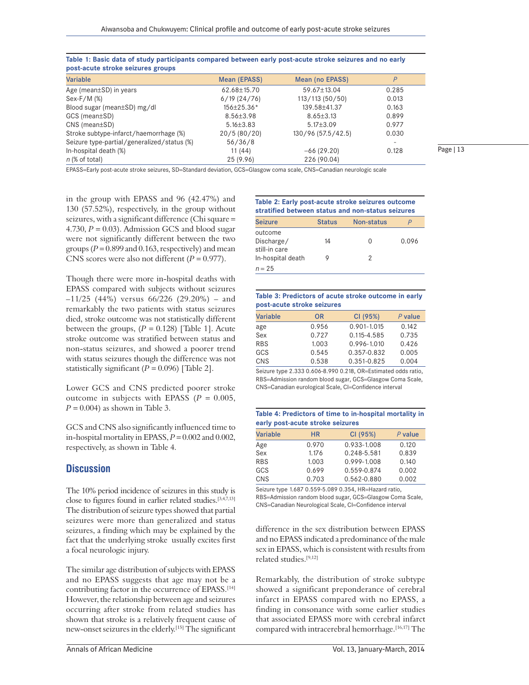| post-acute stroke seizures groups           |                 |                    |       |  |  |
|---------------------------------------------|-----------------|--------------------|-------|--|--|
| <b>Variable</b>                             | Mean (EPASS)    | Mean (no EPASS)    | P     |  |  |
| Age (mean $\pm$ SD) in years                | $62.68 + 15.70$ | 59.67+13.04        | 0.285 |  |  |
| $Sex-F/M$ $%$                               | 6/19(24/76)     | 113/113 (50/50)    | 0.013 |  |  |
| Blood sugar (mean±SD) mg/dl                 | 156+25.36*      | 139.58±41.37       | 0.163 |  |  |
| GCS (mean±SD)                               | $8.56 \pm 3.98$ | $8.65 \pm 3.13$    | 0.899 |  |  |
| $CNS$ (mean $\pm SD$ )                      | $5.16 \pm 3.83$ | $5.17 \pm 3.09$    | 0.977 |  |  |
| Stroke subtype-infarct/haemorrhage (%)      | 20/5(80/20)     | 130/96 (57.5/42.5) | 0.030 |  |  |
| Seizure type-partial/generalized/status (%) | 56/36/8         |                    |       |  |  |
| In-hospital death (%)                       | 11 (44)         | $-66(29.20)$       | 0.128 |  |  |
| $n$ (% of total)                            | 25 (9.96)       | 226 (90.04)        |       |  |  |

**Table 1: Basic data of study participants compared between early post-acute stroke seizures and no early** 

EPASS=Early post-acute stroke seizures, SD=Standard deviation, GCS=Glasgow coma scale, CNS=Canadian neurologic scale

in the group with EPASS and 96 (42.47%) and 130 (57.52%), respectively, in the group without seizures, with a significant difference (Chi square = 4.730,  $P = 0.03$ ). Admission GCS and blood sugar were not significantly different between the two groups ( $P = 0.899$  and 0.163, respectively) and mean CNS scores were also not different (*P* = 0.977).

Though there were more in-hospital deaths with EPASS compared with subjects without seizures  $-11/25$  (44%) versus 66/226 (29.20%) – and remarkably the two patients with status seizures died, stroke outcome was not statistically different between the groups,  $(P = 0.128)$  [Table 1]. Acute stroke outcome was stratified between status and non-status seizures, and showed a poorer trend with status seizures though the difference was not statistically significant  $(P = 0.096)$  [Table 2].

Lower GCS and CNS predicted poorer stroke outcome in subjects with EPASS (*P* = 0.005, *P* = 0.004) as shown in Table 3.

GCS and CNS also significantly influenced time to in-hospital mortality in EPASS,  $P = 0.002$  and 0.002, respectively, as shown in Table 4.

#### **Discussion**

The 10% period incidence of seizures in this study is close to figures found in earlier related studies.[3,4,7,13] The distribution of seizure types showed that partial seizures were more than generalized and status seizures, a finding which may be explained by the fact that the underlying stroke usually excites first a focal neurologic injury.

The similar age distribution of subjects with EPASS and no EPASS suggests that age may not be a contributing factor in the occurrence of EPASS.[14] However, the relationship between age and seizures occurring after stroke from related studies has shown that stroke is a relatively frequent cause of new-onset seizures in the elderly.[15] The significant

| Table 2: Early post-acute stroke seizures outcome<br>stratified between status and non-status seizures |               |            |       |  |
|--------------------------------------------------------------------------------------------------------|---------------|------------|-------|--|
| <b>Seizure</b>                                                                                         | <b>Status</b> | Non-status |       |  |
| outcome                                                                                                |               |            |       |  |
| Discharge/<br>still-in care                                                                            | 14            | O          | 0.096 |  |
| In-hospital death                                                                                      | Q             | 2          |       |  |
| $n = 25$                                                                                               |               |            |       |  |

Page | 13

#### **Table 3: Predictors of acute stroke outcome in early post-acute stroke seizures**

| Variable   | <b>OR</b> | CI (95%)        | $P$ value |
|------------|-----------|-----------------|-----------|
| age        | 0.956     | $0.901 - 1.015$ | 0.142     |
| Sex        | 0.727     | 0.115-4.585     | 0.735     |
| <b>RBS</b> | 1.003     | 0.996-1.010     | 0.426     |
| GCS        | 0.545     | 0.357-0.832     | 0.005     |
| CNS        | 0.538     | 0.351-0.825     | 0.004     |
|            |           |                 |           |

Seizure type 2.333 0.606-8.990 0.218, OR=Estimated odds ratio, RBS=Admission random blood sugar, GCS=Glasgow Coma Scale, CNS=Canadian eurological Scale, CI=Confidence interval

| Table 4: Predictors of time to in-hospital mortality in |  |
|---------------------------------------------------------|--|
| early post-acute stroke seizures                        |  |

| <b>Variable</b> | <b>HR</b> | CI (95%)    | $P$ value |
|-----------------|-----------|-------------|-----------|
| Age             | 0.970     | 0.933-1.008 | 0.120     |
| Sex             | 1.176     | 0.248-5.581 | 0.839     |
| <b>RBS</b>      | 1.003     | 0.999-1.008 | 0.140     |
| GCS             | 0.699     | 0.559-0.874 | 0.002     |
| <b>CNS</b>      | 0.703     | 0.562-0.880 | 0.002     |

Seizure type 1.687 0.559-5.089 0.354, HR=Hazard ratio, RBS=Admission random blood sugar, GCS=Glasgow Coma Scale, CNS=Canadian Neurological Scale, CI=Confidence interval

difference in the sex distribution between EPASS and no EPASS indicated a predominance of the male sex in EPASS, which is consistent with results from related studies.[9,12]

Remarkably, the distribution of stroke subtype showed a significant preponderance of cerebral infarct in EPASS compared with no EPASS, a finding in consonance with some earlier studies that associated EPASS more with cerebral infarct compared with intracerebral hemorrhage.<sup>[16,17]</sup> The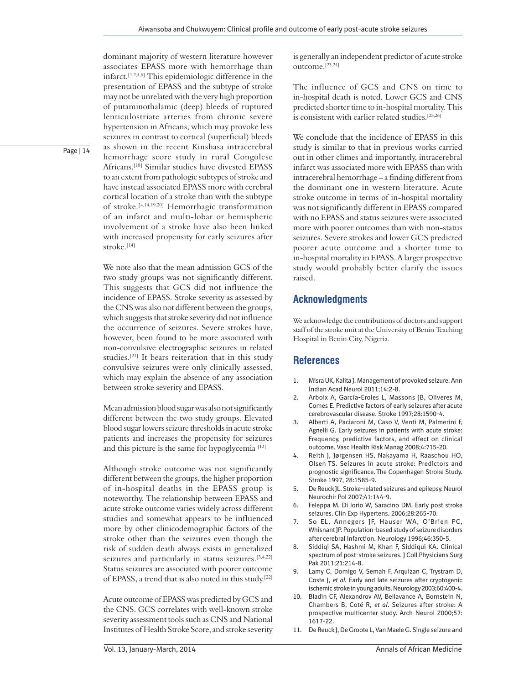dominant majority of western literature however associates EPASS more with hemorrhage than infarct.[1,2,4,6] This epidemiologic difference in the presentation of EPASS and the subtype of stroke may not be unrelated with the very high proportion of putaminothalamic (deep) bleeds of ruptured lenticulostriate arteries from chronic severe hypertension in Africans, which may provoke less seizures in contrast to cortical (superficial) bleeds as shown in the recent Kinshasa intracerebral hemorrhage score study in rural Congolese Africans.[18] Similar studies have divested EPASS to an extent from pathologic subtypes of stroke and have instead associated EPASS more with cerebral cortical location of a stroke than with the subtype of stroke.[4,14,19,20] Hemorrhagic transformation of an infarct and multi-lobar or hemispheric involvement of a stroke have also been linked with increased propensity for early seizures after stroke.<sup>[14]</sup>

Page | 14

We note also that the mean admission GCS of the two study groups was not significantly different. This suggests that GCS did not influence the incidence of EPASS. Stroke severity as assessed by the CNS was also not different between the groups, which suggests that stroke severity did not influence the occurrence of seizures. Severe strokes have, however, been found to be more associated with non-convulsive electrographic seizures in related studies.[21] It bears reiteration that in this study convulsive seizures were only clinically assessed, which may explain the absence of any association between stroke severity and EPASS.

Mean admission blood sugar was also not significantly different between the two study groups. Elevated blood sugar lowers seizure thresholds in acute stroke patients and increases the propensity for seizures and this picture is the same for hypoglycemia<sup>[12]</sup>

Although stroke outcome was not significantly different between the groups, the higher proportion of in-hospital deaths in the EPASS group is noteworthy. The relationship between EPASS and acute stroke outcome varies widely across different studies and somewhat appears to be influenced more by other clinicodemographic factors of the stroke other than the seizures even though the risk of sudden death always exists in generalized seizures and particularly in status seizures.[3,4,22] Status seizures are associated with poorer outcome of EPASS, a trend that is also noted in this study.[22]

Acute outcome of EPASS was predicted by GCS and the CNS. GCS correlates with well-known stroke severity assessment tools such as CNS and National Institutes of Health Stroke Score, and stroke severity is generally an independent predictor of acute stroke outcome.[23,24]

The influence of GCS and CNS on time to in-hospital death is noted. Lower GCS and CNS predicted shorter time to in-hospital mortality. This is consistent with earlier related studies.[25,26]

We conclude that the incidence of EPASS in this study is similar to that in previous works carried out in other climes and importantly, intracerebral infarct was associated more with EPASS than with intracerebral hemorrhage – a finding different from the dominant one in western literature. Acute stroke outcome in terms of in-hospital mortality was not significantly different in EPASS compared with no EPASS and status seizures were associated more with poorer outcomes than with non-status seizures. Severe strokes and lower GCS predicted poorer acute outcome and a shorter time to in-hospital mortality in EPASS. A larger prospective study would probably better clarify the issues raised.

# **Acknowledgments**

We acknowledge the contributions of doctors and support staff of the stroke unit at the University of Benin Teaching Hospital in Benin City, Nigeria.

# **References**

- 1. Misra UK, Kalita J. Management of provoked seizure. Ann Indian Acad Neurol 2011;14:2-8.
- 2. Arboix A, García-Eroles L, Massons JB, Oliveres M, Comes E. Predictive factors of early seizures after acute cerebrovascular disease. Stroke 1997;28:1590-4.
- 3. Alberti A, Paciaroni M, Caso V, Venti M, Palmerini F, Agnelli G. Early seizures in patients with acute stroke: Frequency, predictive factors, and effect on clinical outcome. Vasc Health Risk Manag 2008;4:715-20.
- 4. Reith J, Jørgensen HS, Nakayama H, Raaschou HO, Olsen TS. Seizures in acute stroke: Predictors and prognostic significance. The Copenhagen Stroke Study. Stroke 1997, 28:1585-9.
- 5. De Reuck JL. Stroke-related seizures and epilepsy. Neurol Neurochir Pol 2007;41:144-9.
- 6. Feleppa M, Di lorio W, Saracino DM. Early post stroke seizures. Clin Exp Hypertens. 2006;28:265-70.
- 7. So EL, Annegers JF, Hauser WA, O'Brien PC, Whisnant JP. Population-based study of seizure disorders after cerebral infarction. Neurology 1996;46:350-5.
- 8. Siddiqi SA, Hashmi M, Khan F, Siddiqui KA. Clinical spectrum of post-stroke seizures. J Coll Physicians Surg Pak 2011;21:214-8.
- 9. Lamy C, Domigo V, Semah F, Arquizan C, Trystram D, Coste J, *et al*. Early and late seizures after cryptogenic ischemic stroke in young adults. Neurology 2003;60:400-4.
- 10. Bladin CF, Alexandrov AV, Bellavance A, Bornstein N, Chambers B, Coté R, *et al*. Seizures after stroke: A prospective multicenter study. Arch Neurol 2000;57: 1617-22.
- 11. De Reuck J, De Groote L, Van Maele G. Single seizure and